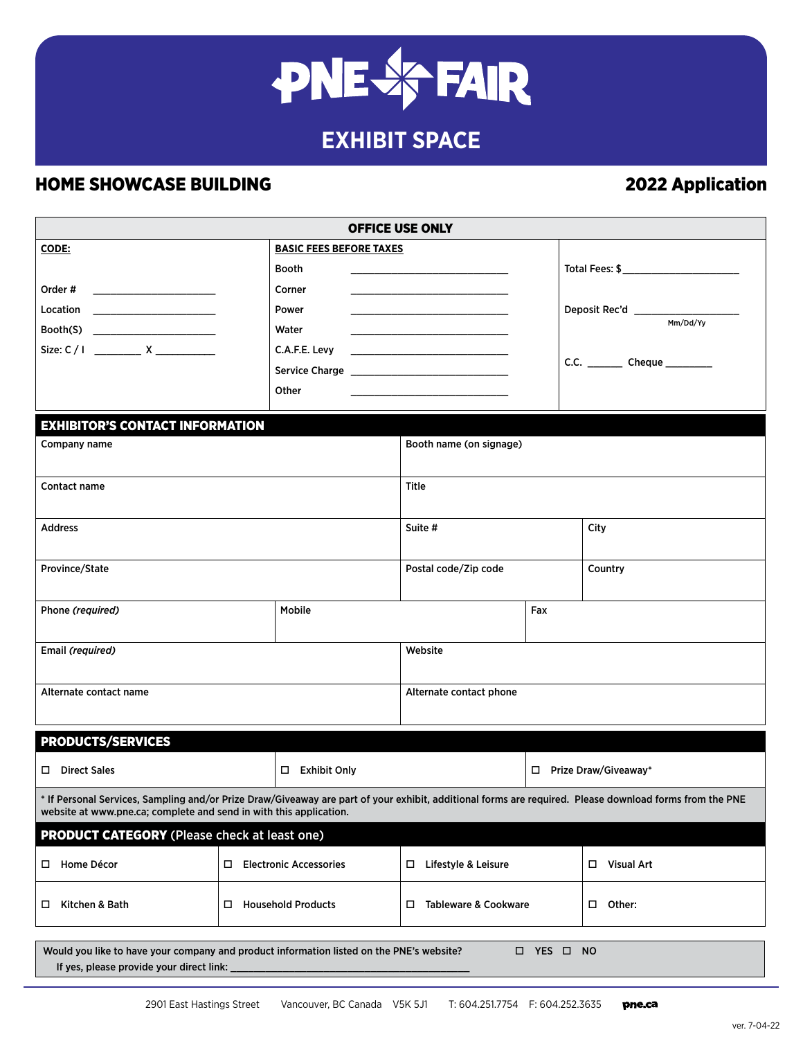# **PNE & FAIR**

# **EXHIBIT SPACE**

## HOME SHOWCASE BUILDING **2022** Application

| <b>OFFICE USE ONLY</b>                                                                                                                                                                                                        |                                         |                                                                                                  |                           |      |                                   |  |  |
|-------------------------------------------------------------------------------------------------------------------------------------------------------------------------------------------------------------------------------|-----------------------------------------|--------------------------------------------------------------------------------------------------|---------------------------|------|-----------------------------------|--|--|
| CODE:                                                                                                                                                                                                                         |                                         | <b>BASIC FEES BEFORE TAXES</b>                                                                   |                           |      |                                   |  |  |
|                                                                                                                                                                                                                               |                                         | Booth<br>Corner                                                                                  |                           |      |                                   |  |  |
|                                                                                                                                                                                                                               |                                         | Power                                                                                            |                           |      |                                   |  |  |
| $\text{Booth}(S)$                                                                                                                                                                                                             |                                         | Water                                                                                            |                           |      |                                   |  |  |
|                                                                                                                                                                                                                               |                                         | C.A.F.E. Levy<br>the contract of the contract of the contract of the contract of the contract of |                           |      |                                   |  |  |
|                                                                                                                                                                                                                               |                                         |                                                                                                  |                           |      | C.C. __________ Cheque __________ |  |  |
|                                                                                                                                                                                                                               |                                         | Other                                                                                            |                           |      |                                   |  |  |
|                                                                                                                                                                                                                               |                                         |                                                                                                  |                           |      |                                   |  |  |
| <b>EXHIBITOR'S CONTACT INFORMATION</b>                                                                                                                                                                                        |                                         |                                                                                                  |                           |      |                                   |  |  |
| Company name                                                                                                                                                                                                                  |                                         |                                                                                                  | Booth name (on signage)   |      |                                   |  |  |
|                                                                                                                                                                                                                               |                                         |                                                                                                  |                           |      |                                   |  |  |
| <b>Contact name</b>                                                                                                                                                                                                           |                                         |                                                                                                  | Title                     |      |                                   |  |  |
|                                                                                                                                                                                                                               |                                         |                                                                                                  |                           |      |                                   |  |  |
| <b>Address</b>                                                                                                                                                                                                                |                                         | Suite #                                                                                          |                           | City |                                   |  |  |
|                                                                                                                                                                                                                               |                                         |                                                                                                  |                           |      |                                   |  |  |
| Province/State                                                                                                                                                                                                                |                                         |                                                                                                  | Postal code/Zip code      |      | Country                           |  |  |
|                                                                                                                                                                                                                               |                                         |                                                                                                  |                           |      |                                   |  |  |
| Phone (required)                                                                                                                                                                                                              |                                         | <b>Mobile</b>                                                                                    |                           | Fax  |                                   |  |  |
|                                                                                                                                                                                                                               |                                         |                                                                                                  |                           |      |                                   |  |  |
| Email (required)                                                                                                                                                                                                              |                                         |                                                                                                  | Website                   |      |                                   |  |  |
| Alternate contact name                                                                                                                                                                                                        |                                         |                                                                                                  |                           |      |                                   |  |  |
|                                                                                                                                                                                                                               |                                         |                                                                                                  | Alternate contact phone   |      |                                   |  |  |
|                                                                                                                                                                                                                               |                                         |                                                                                                  |                           |      |                                   |  |  |
| <b>PRODUCTS/SERVICES</b>                                                                                                                                                                                                      |                                         |                                                                                                  |                           |      |                                   |  |  |
| D Direct Sales                                                                                                                                                                                                                |                                         | □ Exhibit Only                                                                                   |                           |      | □ Prize Draw/Giveaway*            |  |  |
| * If Personal Services, Sampling and/or Prize Draw/Giveaway are part of your exhibit, additional forms are required. Please download forms from the PNE<br>website at www.pne.ca; complete and send in with this application. |                                         |                                                                                                  |                           |      |                                   |  |  |
| <b>PRODUCT CATEGORY</b> (Please check at least one)                                                                                                                                                                           |                                         |                                                                                                  |                           |      |                                   |  |  |
| □ Home Décor                                                                                                                                                                                                                  | <b>Electronic Accessories</b><br>$\Box$ |                                                                                                  | Lifestyle & Leisure<br>□  |      | П<br><b>Visual Art</b>            |  |  |
| Kitchen & Bath<br>$\Box$                                                                                                                                                                                                      | <b>Household Products</b><br>□          |                                                                                                  | Tableware & Cookware<br>□ |      | Other:<br>П.                      |  |  |
|                                                                                                                                                                                                                               |                                         |                                                                                                  |                           |      |                                   |  |  |
| Would you like to have your company and product information listed on the PNE's website?<br>□ YES □ NO                                                                                                                        |                                         |                                                                                                  |                           |      |                                   |  |  |
| If yes, please provide your direct link:                                                                                                                                                                                      |                                         |                                                                                                  |                           |      |                                   |  |  |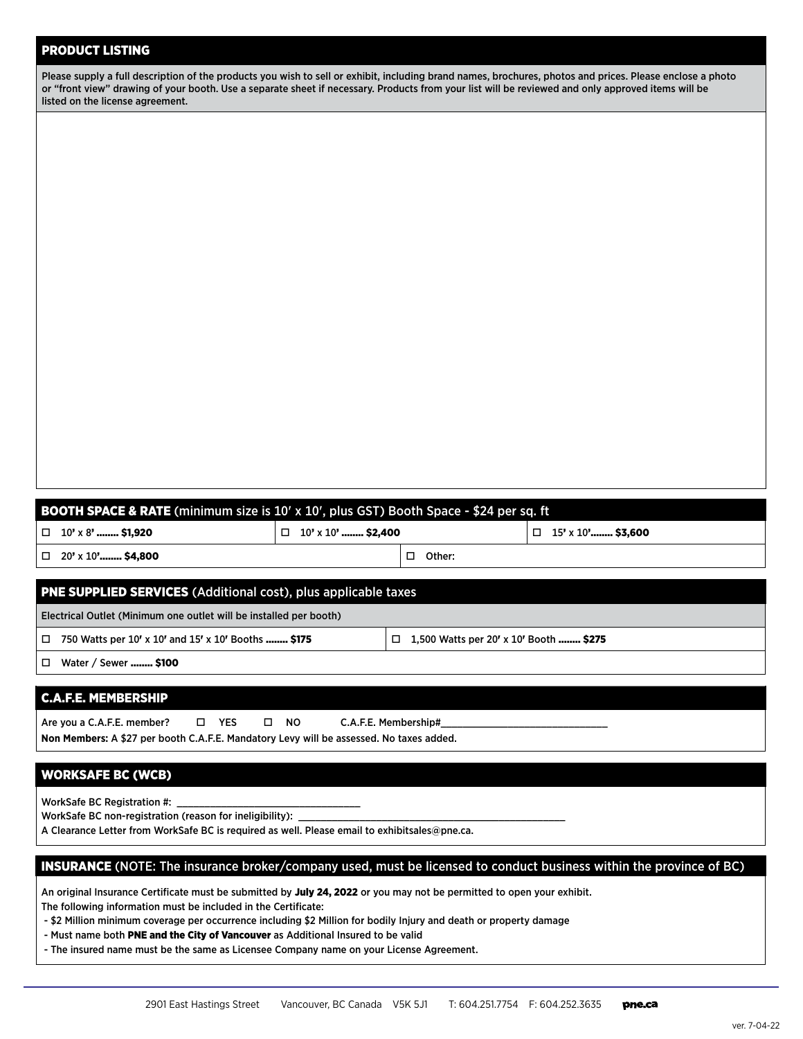#### PRODUCT LISTING

| Please supply a full description of the products you wish to sell or exhibit, including brand names, brochures, photos and prices. Please enclose a photo |
|-----------------------------------------------------------------------------------------------------------------------------------------------------------|
| or "front view" drawing of your booth. Use a separate sheet if necessary. Products from your list will be reviewed and only approved items will be        |
| listed on the license agreement.                                                                                                                          |

| <b>BOOTH SPACE &amp; RATE</b> (minimum size is 10' x 10', plus GST) Booth Space - \$24 per sq. ft                                                                                        |                           |                                          |                          |  |  |  |
|------------------------------------------------------------------------------------------------------------------------------------------------------------------------------------------|---------------------------|------------------------------------------|--------------------------|--|--|--|
| 10' x 8'  \$1,920<br>□                                                                                                                                                                   | $\Box$ 10' x 10'  \$2,400 |                                          | $\Box$ 15' x 10' \$3,600 |  |  |  |
| 20' x 10' \$4,800                                                                                                                                                                        |                           | Other:<br>О.                             |                          |  |  |  |
| <b>PNE SUPPLIED SERVICES</b> (Additional cost), plus applicable taxes                                                                                                                    |                           |                                          |                          |  |  |  |
| Electrical Outlet (Minimum one outlet will be installed per booth)                                                                                                                       |                           |                                          |                          |  |  |  |
| 750 Watts per 10' x 10' and 15' x 10' Booths  \$175<br>□                                                                                                                                 |                           | □ 1,500 Watts per 20' x 10' Booth  \$275 |                          |  |  |  |
| Water / Sewer  \$100<br>□                                                                                                                                                                |                           |                                          |                          |  |  |  |
| <b>C.A.F.E. MEMBERSHIP</b>                                                                                                                                                               |                           |                                          |                          |  |  |  |
| □ YES<br>Are you a C.A.F.E. member?<br>$\square$ NO<br>C.A.F.E. Membership#<br>Non Members: A \$27 per booth C.A.F.E. Mandatory Levy will be assessed. No taxes added.                   |                           |                                          |                          |  |  |  |
| <b>WORKSAFE BC (WCB)</b>                                                                                                                                                                 |                           |                                          |                          |  |  |  |
| WorkSafe BC Registration #:<br>WorkSafe BC non-registration (reason for ineligibility):<br>A Clearance Letter from WorkSafe BC is required as well. Please email to exhibitsales@pne.ca. |                           |                                          |                          |  |  |  |

#### INSURANCE (NOTE: The insurance broker/company used, must be licensed to conduct business within the province of BC)

An original Insurance Certificate must be submitted by July 24, 2022 or you may not be permitted to open your exhibit.

The following information must be included in the Certificate:

- \$2 Million minimum coverage per occurrence including \$2 Million for bodily Injury and death or property damage

- Must name both PNE and the City of Vancouver as Additional Insured to be valid
- The insured name must be the same as Licensee Company name on your License Agreement.